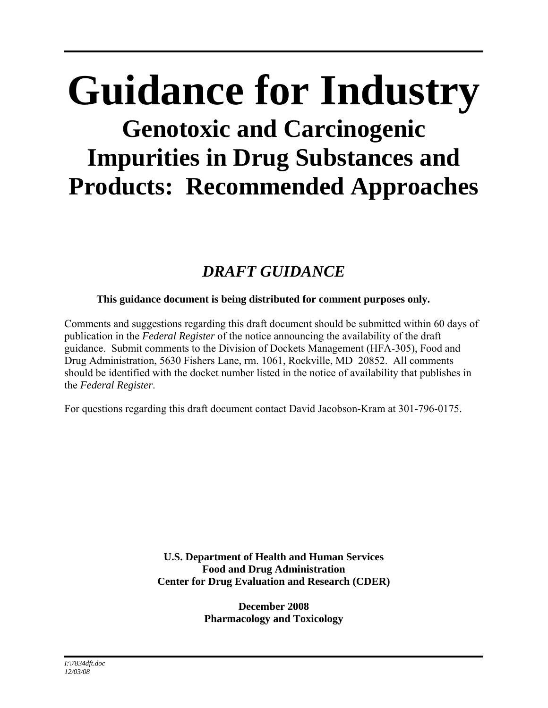# **Guidance for Industry Genotoxic and Carcinogenic Impurities in Drug Substances and Products: Recommended Approaches**

# *DRAFT GUIDANCE*

# **This guidance document is being distributed for comment purposes only.**

Comments and suggestions regarding this draft document should be submitted within 60 days of publication in the *Federal Register* of the notice announcing the availability of the draft guidance. Submit comments to the Division of Dockets Management (HFA-305), Food and Drug Administration, 5630 Fishers Lane, rm. 1061, Rockville, MD 20852. All comments should be identified with the docket number listed in the notice of availability that publishes in the *Federal Register*.

For questions regarding this draft document contact David Jacobson-Kram at 301-796-0175.

**U.S. Department of Health and Human Services Food and Drug Administration Center for Drug Evaluation and Research (CDER)** 

> **December 2008 Pharmacology and Toxicology**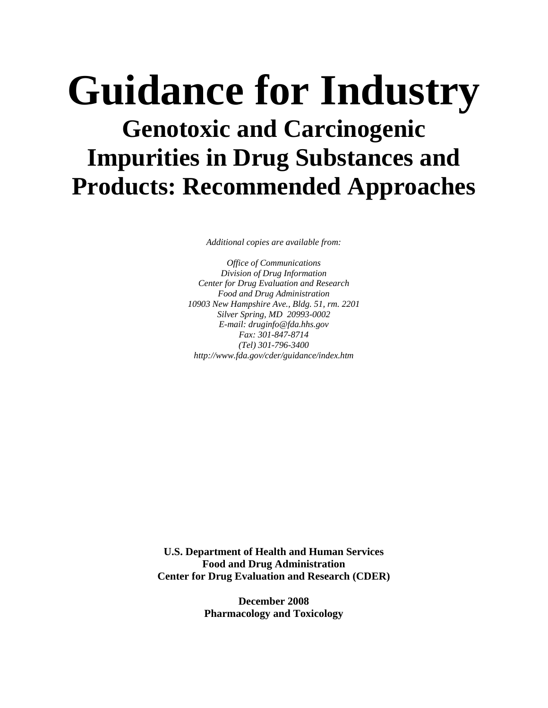# **Guidance for Industry Genotoxic and Carcinogenic Impurities in Drug Substances and Products: Recommended Approaches**

*Additional copies are available from:* 

*Office of Communications Division of Drug Information Center for Drug Evaluation and Research Food and Drug Administration 10903 New Hampshire Ave., Bldg. 51, rm. 2201 Silver Spring, MD 20993-0002 E-mail: druginfo@fda.hhs.gov Fax: 301-847-8714 (Tel) 301-796-3400 http://www.fda.gov/cder/guidance/index.htm* 

**U.S. Department of Health and Human Services Food and Drug Administration Center for Drug Evaluation and Research (CDER)** 

> **December 2008 Pharmacology and Toxicology**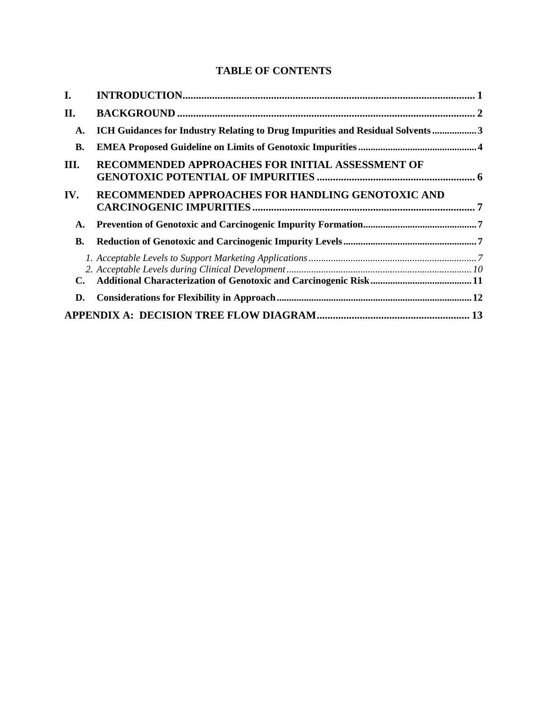# **TABLE OF CONTENTS**

| I.        |                                                                               |  |  |
|-----------|-------------------------------------------------------------------------------|--|--|
| II.       |                                                                               |  |  |
| A.        | ICH Guidances for Industry Relating to Drug Impurities and Residual Solvents3 |  |  |
| <b>B.</b> |                                                                               |  |  |
| III.      | RECOMMENDED APPROACHES FOR INITIAL ASSESSMENT OF                              |  |  |
| IV.       | RECOMMENDED APPROACHES FOR HANDLING GENOTOXIC AND                             |  |  |
| A.        |                                                                               |  |  |
| <b>B.</b> |                                                                               |  |  |
| C.        |                                                                               |  |  |
| D.        |                                                                               |  |  |
|           |                                                                               |  |  |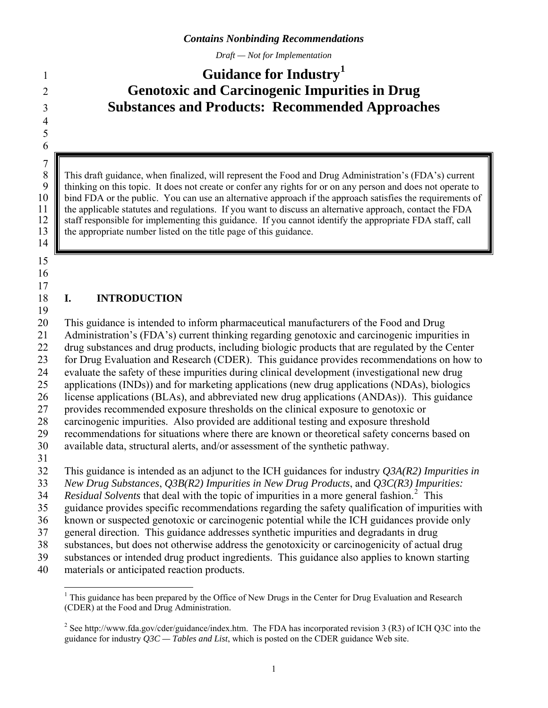*Draft — Not for Implementation* 

# <span id="page-3-0"></span>**Guidance for Industry[1](#page-3-1)** <sup>1</sup> **Genotoxic and Carcinogenic Impurities in Drug Substances and Products: Recommended Approaches**

8 This draft guidance, when finalized, will represent the Food and Drug Administration's (FDA's) current<br>9 thinking on this topic. It does not create or confer any rights for or on any person and does not operate to 9 thinking on this topic. It does not create or confer any rights for or on any person and does not operate to 10 bind FDA or the public. You can use an alternative approach if the approach satisfies the requirements of 11 the applicable statutes and regulations. If you want to discuss an alternative approach, contact the FDA 12 staff responsible for implementing this guidance. If you cannot identify the appropriate FDA staff, call 13 the appropriate number listed on the title page of this guidance.

14 15

 $\begin{array}{c} 7 \\ 8 \end{array}$ 

#### 16 17

#### 18 19 **I. INTRODUCTION**

20 This guidance is intended to inform pharmaceutical manufacturers of the Food and Drug

21 Administration's (FDA's) current thinking regarding genotoxic and carcinogenic impurities in

22 drug substances and drug products, including biologic products that are regulated by the Center

23 for Drug Evaluation and Research (CDER). This guidance provides recommendations on how to

24 25 evaluate the safety of these impurities during clinical development (investigational new drug applications (INDs)) and for marketing applications (new drug applications (NDAs), biologics

26 license applications (BLAs), and abbreviated new drug applications (ANDAs)). This guidance

27 provides recommended exposure thresholds on the clinical exposure to genotoxic or

28 carcinogenic impurities. Also provided are additional testing and exposure threshold

29 recommendations for situations where there are known or theoretical safety concerns based on

30 available data, structural alerts, and/or assessment of the synthetic pathway.

31

32 This guidance is intended as an adjunct to the ICH guidances for industry *Q3A(R2) Impurities in* 

33 *New Drug Substances*, *Q3B(R2) Impurities in New Drug Products*, and *Q3C(R3) Impurities:* 

34 Residual Solvents that deal with the topic of impurities in a more general fashion.<sup>[2](#page-3-2)</sup> This

35 guidance provides specific recommendations regarding the safety qualification of impurities with

36 known or suspected genotoxic or carcinogenic potential while the ICH guidances provide only

37 general direction. This guidance addresses synthetic impurities and degradants in drug

38 substances, but does not otherwise address the genotoxicity or carcinogenicity of actual drug

39 substances or intended drug product ingredients. This guidance also applies to known starting

<span id="page-3-1"></span>40 materials or anticipated reaction products.

 $\overline{a}$ <sup>1</sup> This guidance has been prepared by the Office of New Drugs in the Center for Drug Evaluation and Research (CDER) at the Food and Drug Administration.

<span id="page-3-2"></span><sup>&</sup>lt;sup>2</sup> See http://www.fda.gov/cder/guidance/index.htm. The FDA has incorporated revision 3 (R3) of ICH Q3C into the guidance for industry *Q3C — Tables and List*, which is posted on the CDER guidance Web site.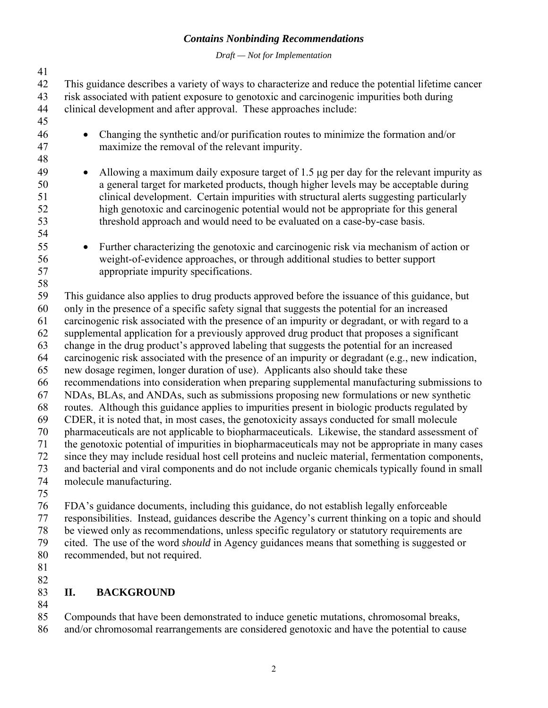*Draft — Not for Implementation* 

<span id="page-4-0"></span>41 42 43 44 45 46 47 48 49 50 51 52 53 54 55 56 57 58 59 60 61 62 63 64 65 66 67 68 69 70 71 72 73 74 75 76 77 This guidance describes a variety of ways to characterize and reduce the potential lifetime cancer risk associated with patient exposure to genotoxic and carcinogenic impurities both during clinical development and after approval. These approaches include: • Changing the synthetic and/or purification routes to minimize the formation and/or maximize the removal of the relevant impurity. • Allowing a maximum daily exposure target of 1.5 μg per day for the relevant impurity as a general target for marketed products, though higher levels may be acceptable during clinical development. Certain impurities with structural alerts suggesting particularly high genotoxic and carcinogenic potential would not be appropriate for this general threshold approach and would need to be evaluated on a case-by-case basis. • Further characterizing the genotoxic and carcinogenic risk via mechanism of action or weight-of-evidence approaches, or through additional studies to better support appropriate impurity specifications. This guidance also applies to drug products approved before the issuance of this guidance, but only in the presence of a specific safety signal that suggests the potential for an increased carcinogenic risk associated with the presence of an impurity or degradant, or with regard to a supplemental application for a previously approved drug product that proposes a significant change in the drug product's approved labeling that suggests the potential for an increased carcinogenic risk associated with the presence of an impurity or degradant (e.g., new indication, new dosage regimen, longer duration of use). Applicants also should take these recommendations into consideration when preparing supplemental manufacturing submissions to NDAs, BLAs, and ANDAs, such as submissions proposing new formulations or new synthetic routes. Although this guidance applies to impurities present in biologic products regulated by CDER, it is noted that, in most cases, the genotoxicity assays conducted for small molecule pharmaceuticals are not applicable to biopharmaceuticals. Likewise, the standard assessment of the genotoxic potential of impurities in biopharmaceuticals may not be appropriate in many cases since they may include residual host cell proteins and nucleic material, fermentation components, and bacterial and viral components and do not include organic chemicals typically found in small molecule manufacturing. FDA's guidance documents, including this guidance, do not establish legally enforceable responsibilities. Instead, guidances describe the Agency's current thinking on a topic and should

78 79 be viewed only as recommendations, unless specific regulatory or statutory requirements are cited. The use of the word *should* in Agency guidances means that something is suggested or

- 80 recommended, but not required.
- 81 82

#### 83 **II. BACKGROUND**

84

85 86 Compounds that have been demonstrated to induce genetic mutations, chromosomal breaks, and/or chromosomal rearrangements are considered genotoxic and have the potential to cause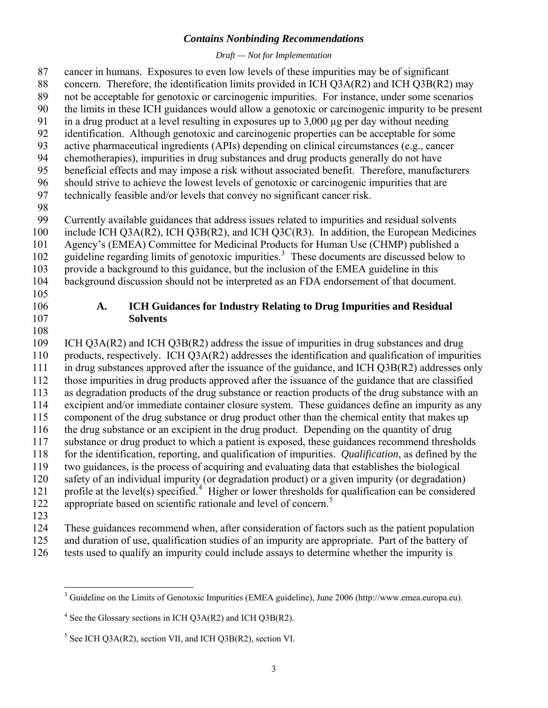*Draft — Not for Implementation* 

<span id="page-5-0"></span>cancer in humans. Exposures to even low levels of these impurities may be of significant concern. Therefore, the identification limits provided in ICH Q3A(R2) and ICH Q3B(R2) may not be acceptable for genotoxic or carcinogenic impurities. For instance, under some scenarios the limits in these ICH guidances would allow a genotoxic or carcinogenic impurity to be present in a drug product at a level resulting in exposures up to  $3,000 \mu$ g per day without needing identification. Although genotoxic and carcinogenic properties can be acceptable for some active pharmaceutical ingredients (APIs) depending on clinical circumstances (e.g., cancer chemotherapies), impurities in drug substances and drug products generally do not have beneficial effects and may impose a risk without associated benefit. Therefore, manufacturers should strive to achieve the lowest levels of genotoxic or carcinogenic impurities that are technically feasible and/or levels that convey no significant cancer risk. 87 88 89 90 91 92 93 94 95 96 97 98 99 100 101 102 103 104 105 106 107 108 109 110 111 112 113 114 115 116 117 118 119 120 121 122 123 124 125 Currently available guidances that address issues related to impurities and residual solvents include ICH Q3A(R2), ICH Q3B(R2), and ICH Q3C(R3). In addition, the European Medicines Agency's (EMEA) Committee for Medicinal Products for Human Use (CHMP) published a guideline regarding limits of genotoxic impurities.<sup>[3](#page-5-1)</sup> These documents are discussed below to provide a background to this guidance, but the inclusion of the EMEA guideline in this background discussion should not be interpreted as an FDA endorsement of that document. **A. ICH Guidances for Industry Relating to Drug Impurities and Residual Solvents**  ICH Q3A(R2) and ICH Q3B(R2) address the issue of impurities in drug substances and drug products, respectively. ICH Q3A(R2) addresses the identification and qualification of impurities in drug substances approved after the issuance of the guidance, and ICH Q3B(R2) addresses only those impurities in drug products approved after the issuance of the guidance that are classified as degradation products of the drug substance or reaction products of the drug substance with an excipient and/or immediate container closure system. These guidances define an impurity as any component of the drug substance or drug product other than the chemical entity that makes up the drug substance or an excipient in the drug product. Depending on the quantity of drug substance or drug product to which a patient is exposed, these guidances recommend thresholds for the identification, reporting, and qualification of impurities. *Qualification*, as defined by the two guidances, is the process of acquiring and evaluating data that establishes the biological safety of an individual impurity (or degradation product) or a given impurity (or degradation) profile at the level(s) specified.<sup>[4](#page-5-2)</sup> Higher or lower thresholds for qualification can be considered appropriate based on scientific rationale and level of concern.<sup>[5](#page-5-3)</sup> These guidances recommend when, after consideration of factors such as the patient population and duration of use, qualification studies of an impurity are appropriate. Part of the battery of

<span id="page-5-1"></span>126 tests used to qualify an impurity could include assays to determine whether the impurity is

<sup>&</sup>lt;sup>3</sup> Guideline on the Limits of Genotoxic Impurities (EMEA guideline), June 2006 (http://www.emea.europa.eu).

<span id="page-5-2"></span> $4^4$  See the Glossary sections in ICH Q3A(R2) and ICH Q3B(R2).

<span id="page-5-3"></span> $<sup>5</sup>$  See ICH Q3A(R2), section VII, and ICH Q3B(R2), section VI.</sup>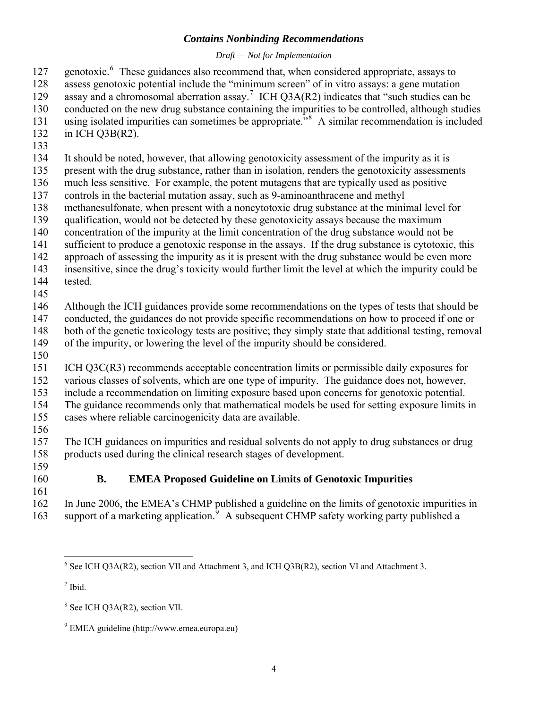## *Draft — Not for Implementation*

<span id="page-6-0"></span>genotoxic.<sup>[6](#page-6-1)</sup> These guidances also recommend that, when considered appropriate, assays to 127

assess genotoxic potential include the "minimum screen" of in vitro assays: a gene mutation 128

- assay and a chromosomal aberration assay.<sup>[7](#page-6-2)</sup> ICH Q3A(R2) indicates that "such studies can be 129
- 130 conducted on the new drug substance containing the impurities to be controlled, although studies
- 131 132 using isolated impurities can sometimes be appropriate.<sup>5[8](#page-6-3)</sup> A similar recommendation is included in ICH Q3B(R2).
- 133

134 It should be noted, however, that allowing genotoxicity assessment of the impurity as it is

135 present with the drug substance, rather than in isolation, renders the genotoxicity assessments

136 much less sensitive. For example, the potent mutagens that are typically used as positive

137 controls in the bacterial mutation assay, such as 9-aminoanthracene and methyl

- 138 methanesulfonate, when present with a noncytotoxic drug substance at the minimal level for
- 139 qualification, would not be detected by these genotoxicity assays because the maximum
- 140 concentration of the impurity at the limit concentration of the drug substance would not be

141 sufficient to produce a genotoxic response in the assays. If the drug substance is cytotoxic, this

142 approach of assessing the impurity as it is present with the drug substance would be even more

143 insensitive, since the drug's toxicity would further limit the level at which the impurity could be

- 144 tested.
- 145

146 Although the ICH guidances provide some recommendations on the types of tests that should be

147 conducted, the guidances do not provide specific recommendations on how to proceed if one or

148 both of the genetic toxicology tests are positive; they simply state that additional testing, removal

- 149 of the impurity, or lowering the level of the impurity should be considered.
- 150

151 ICH Q3C(R3) recommends acceptable concentration limits or permissible daily exposures for

152 various classes of solvents, which are one type of impurity. The guidance does not, however,

153 154 include a recommendation on limiting exposure based upon concerns for genotoxic potential.

155 The guidance recommends only that mathematical models be used for setting exposure limits in cases where reliable carcinogenicity data are available.

156

157 158 The ICH guidances on impurities and residual solvents do not apply to drug substances or drug products used during the clinical research stages of development.

- 159
- 160 161

# **B. EMEA Proposed Guideline on Limits of Genotoxic Impurities**

162 163 In June 2006, the EMEA's CHMP published a guideline on the limits of genotoxic impurities in support of a marketing application.<sup>[9](#page-6-4)</sup> A subsequent CHMP safety working party published a

<span id="page-6-2"></span>7 Ibid.

<span id="page-6-1"></span><sup>&</sup>lt;sup>6</sup> See ICH Q3A(R2), section VII and Attachment 3, and ICH Q3B(R2), section VI and Attachment 3.

<span id="page-6-3"></span><sup>&</sup>lt;sup>8</sup> See ICH Q3A(R2), section VII.

<span id="page-6-4"></span><sup>9</sup> EMEA guideline (http://www.emea.europa.eu)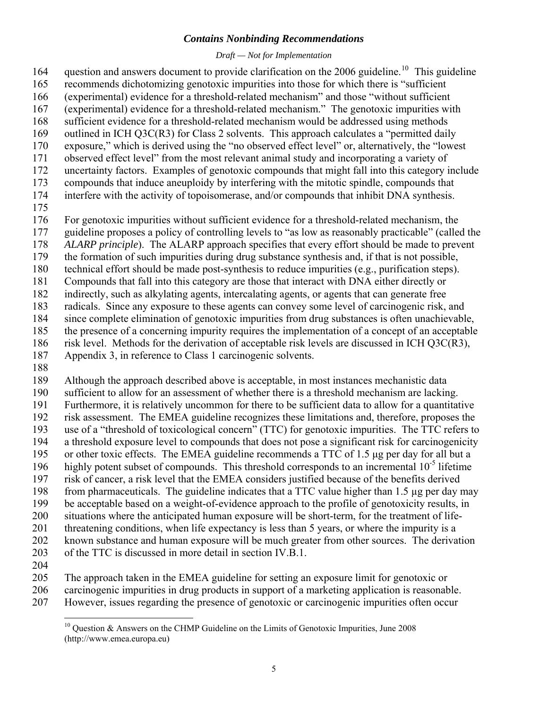## *Draft — Not for Implementation*

question and answers document to provide clarification on the  $2006$  guideline.<sup>[10](#page-7-0)</sup> This guideline recommends dichotomizing genotoxic impurities into those for which there is "sufficient (experimental) evidence for a threshold-related mechanism" and those "without sufficient (experimental) evidence for a threshold-related mechanism." The genotoxic impurities with 164 165 166 167

- sufficient evidence for a threshold-related mechanism would be addressed using methods 168
- outlined in ICH Q3C(R3) for Class 2 solvents. This approach calculates a "permitted daily exposure," which is derived using the "no observed effect level" or, alternatively, the "lowest 169 170
- observed effect level" from the most relevant animal study and incorporating a variety of 171
- uncertainty factors. Examples of genotoxic compounds that might fall into this category include 172
- compounds that induce aneuploidy by interfering with the mitotic spindle, compounds that 173
- interfere with the activity of topoisomerase, and/or compounds that inhibit DNA synthesis. 174
- 175
- 176 For genotoxic impurities without sufficient evidence for a threshold-related mechanism, the
- 177 guideline proposes a policy of controlling levels to "as low as reasonably practicable" (called the
- 178 *ALARP principle*). The ALARP approach specifies that every effort should be made to prevent
- 179 the formation of such impurities during drug substance synthesis and, if that is not possible,
- 180 technical effort should be made post-synthesis to reduce impurities (e.g., purification steps).
- 181 Compounds that fall into this category are those that interact with DNA either directly or
- 182 indirectly, such as alkylating agents, intercalating agents, or agents that can generate free
- 183 radicals. Since any exposure to these agents can convey some level of carcinogenic risk, and
- 184 since complete elimination of genotoxic impurities from drug substances is often unachievable,
- 185 the presence of a concerning impurity requires the implementation of a concept of an acceptable
- 186 risk level. Methods for the derivation of acceptable risk levels are discussed in ICH Q3C(R3),
- 187 Appendix 3, in reference to Class 1 carcinogenic solvents.
- 188
- 189 Although the approach described above is acceptable, in most instances mechanistic data
- 190 sufficient to allow for an assessment of whether there is a threshold mechanism are lacking.
- 191 192 193 Furthermore, it is relatively uncommon for there to be sufficient data to allow for a quantitative risk assessment. The EMEA guideline recognizes these limitations and, therefore, proposes the use of a "threshold of toxicological concern" (TTC) for genotoxic impurities. The TTC refers to
- 194 a threshold exposure level to compounds that does not pose a significant risk for carcinogenicity
- 195 or other toxic effects. The EMEA guideline recommends a TTC of 1.5 μg per day for all but a
- 196 highly potent subset of compounds. This threshold corresponds to an incremental  $10^{-5}$  lifetime
- 197 risk of cancer, a risk level that the EMEA considers justified because of the benefits derived
- 198 from pharmaceuticals. The guideline indicates that a TTC value higher than 1.5 µg per day may
- 199 be acceptable based on a weight-of-evidence approach to the profile of genotoxicity results, in
- 200 situations where the anticipated human exposure will be short-term, for the treatment of life-
- 201 threatening conditions, when life expectancy is less than 5 years, or where the impurity is a
- 202 known substance and human exposure will be much greater from other sources. The derivation
- 203 of the TTC is discussed in more detail in section IV.B.1.
- 204
- 205 The approach taken in the EMEA guideline for setting an exposure limit for genotoxic or
- 206 carcinogenic impurities in drug products in support of a marketing application is reasonable.
- <span id="page-7-0"></span>207 However, issues regarding the presence of genotoxic or carcinogenic impurities often occur

 $\overline{a}$  $10$  Question & Answers on the CHMP Guideline on the Limits of Genotoxic Impurities, June 2008 (http://www.emea.europa.eu)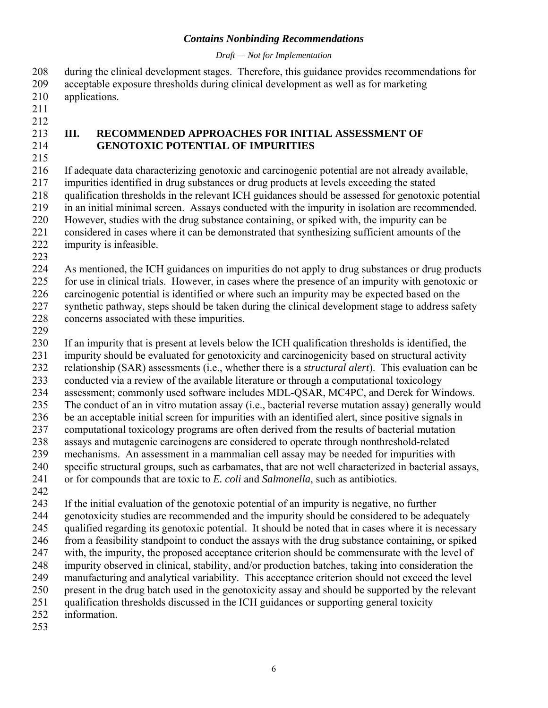*Draft — Not for Implementation* 

<span id="page-8-0"></span>208 209 210 211 212 213 214 215 216 217 218 219 220 221 222 223 224 225 226 227 228 229 during the clinical development stages. Therefore, this guidance provides recommendations for acceptable exposure thresholds during clinical development as well as for marketing applications. **III. RECOMMENDED APPROACHES FOR INITIAL ASSESSMENT OF GENOTOXIC POTENTIAL OF IMPURITIES** If adequate data characterizing genotoxic and carcinogenic potential are not already available, impurities identified in drug substances or drug products at levels exceeding the stated qualification thresholds in the relevant ICH guidances should be assessed for genotoxic potential in an initial minimal screen. Assays conducted with the impurity in isolation are recommended. However, studies with the drug substance containing, or spiked with, the impurity can be considered in cases where it can be demonstrated that synthesizing sufficient amounts of the impurity is infeasible. As mentioned, the ICH guidances on impurities do not apply to drug substances or drug products for use in clinical trials. However, in cases where the presence of an impurity with genotoxic or carcinogenic potential is identified or where such an impurity may be expected based on the synthetic pathway, steps should be taken during the clinical development stage to address safety concerns associated with these impurities.

230 231 232 233 234 235 236 237 238 239 240 241 If an impurity that is present at levels below the ICH qualification thresholds is identified, the impurity should be evaluated for genotoxicity and carcinogenicity based on structural activity relationship (SAR) assessments (i.e., whether there is a *structural alert*). This evaluation can be conducted via a review of the available literature or through a computational toxicology assessment; commonly used software includes MDL-QSAR, MC4PC, and Derek for Windows. The conduct of an in vitro mutation assay (i.e., bacterial reverse mutation assay) generally would be an acceptable initial screen for impurities with an identified alert, since positive signals in computational toxicology programs are often derived from the results of bacterial mutation assays and mutagenic carcinogens are considered to operate through nonthreshold-related mechanisms. An assessment in a mammalian cell assay may be needed for impurities with specific structural groups, such as carbamates, that are not well characterized in bacterial assays, or for compounds that are toxic to *E. coli* and *Salmonella*, such as antibiotics.

242

243 If the initial evaluation of the genotoxic potential of an impurity is negative, no further

244 genotoxicity studies are recommended and the impurity should be considered to be adequately

245 246 qualified regarding its genotoxic potential. It should be noted that in cases where it is necessary from a feasibility standpoint to conduct the assays with the drug substance containing, or spiked

247 with, the impurity, the proposed acceptance criterion should be commensurate with the level of

248 249 impurity observed in clinical, stability, and/or production batches, taking into consideration the

250 manufacturing and analytical variability. This acceptance criterion should not exceed the level present in the drug batch used in the genotoxicity assay and should be supported by the relevant

251 qualification thresholds discussed in the ICH guidances or supporting general toxicity

252 information.

253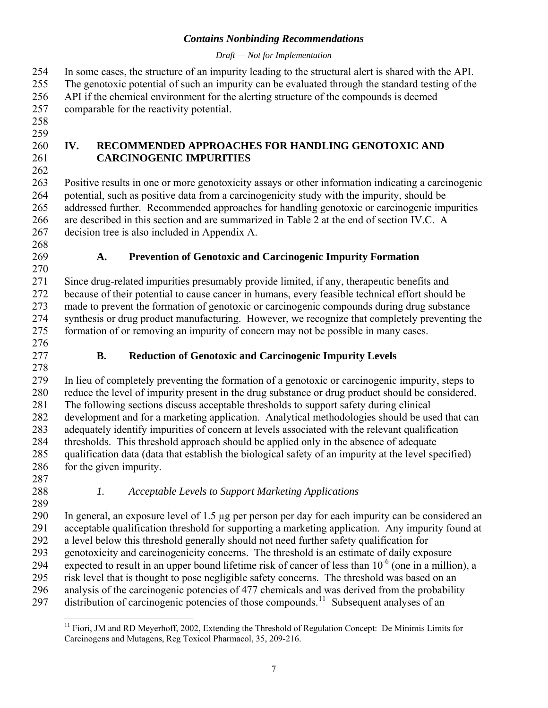## *Draft — Not for Implementation*

<span id="page-9-0"></span>In some cases, the structure of an impurity leading to the structural alert is shared with the API. 254

The genotoxic potential of such an impurity can be evaluated through the standard testing of the 255

API if the chemical environment for the alerting structure of the compounds is deemed 256

comparable for the reactivity potential. 257

258 259

260 261 262

# **IV. RECOMMENDED APPROACHES FOR HANDLING GENOTOXIC AND CARCINOGENIC IMPURITIES**

263 264 265 266 267 Positive results in one or more genotoxicity assays or other information indicating a carcinogenic potential, such as positive data from a carcinogenicity study with the impurity, should be addressed further. Recommended approaches for handling genotoxic or carcinogenic impurities are described in this section and are summarized in Table 2 at the end of section IV.C. A decision tree is also included in Appendix A.

- 268
- 269

# **A. Prevention of Genotoxic and Carcinogenic Impurity Formation**

270 271 272 273 274 275 Since drug-related impurities presumably provide limited, if any, therapeutic benefits and because of their potential to cause cancer in humans, every feasible technical effort should be made to prevent the formation of genotoxic or carcinogenic compounds during drug substance synthesis or drug product manufacturing. However, we recognize that completely preventing the formation of or removing an impurity of concern may not be possible in many cases.

276 277 278

# **B. Reduction of Genotoxic and Carcinogenic Impurity Levels**

279 280 281 282 283 284 285 286 In lieu of completely preventing the formation of a genotoxic or carcinogenic impurity, steps to reduce the level of impurity present in the drug substance or drug product should be considered. The following sections discuss acceptable thresholds to support safety during clinical development and for a marketing application. Analytical methodologies should be used that can adequately identify impurities of concern at levels associated with the relevant qualification thresholds. This threshold approach should be applied only in the absence of adequate qualification data (data that establish the biological safety of an impurity at the level specified) for the given impurity.

- 287
- 288 289
- *1. Acceptable Levels to Support Marketing Applications*
- 290 291 292 293 294 295 296 297 In general, an exposure level of 1.5 µg per person per day for each impurity can be considered an acceptable qualification threshold for supporting a marketing application. Any impurity found at a level below this threshold generally should not need further safety qualification for genotoxicity and carcinogenicity concerns. The threshold is an estimate of daily exposure expected to result in an upper bound lifetime risk of cancer of less than  $10^{-6}$  (one in a million), a risk level that is thought to pose negligible safety concerns. The threshold was based on an analysis of the carcinogenic potencies of 477 chemicals and was derived from the probability distribution of carcinogenic potencies of those compounds.<sup>[11](#page-9-1)</sup> Subsequent analyses of an

<span id="page-9-1"></span> $\overline{a}$ <sup>11</sup> Fiori, JM and RD Meyerhoff, 2002, Extending the Threshold of Regulation Concept: De Minimis Limits for Carcinogens and Mutagens, Reg Toxicol Pharmacol, 35, 209-216.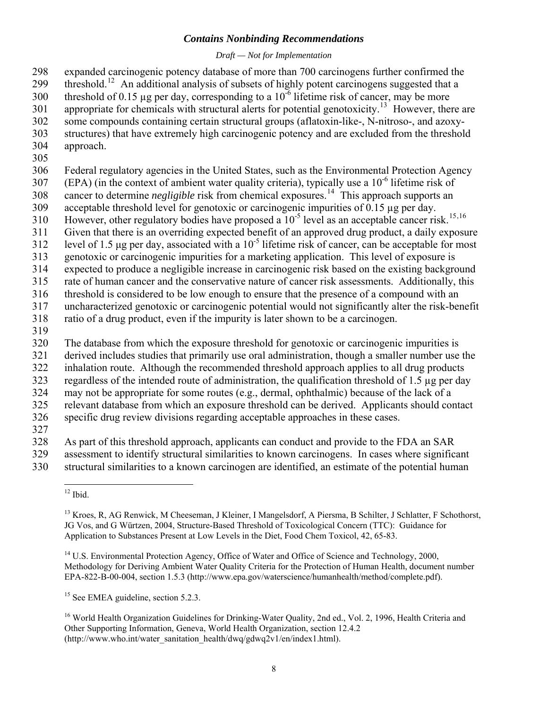#### *Draft — Not for Implementation*

expanded carcinogenic potency database of more than 700 carcinogens further confirmed the threshold.<sup>[12](#page-10-0)</sup> An additional analysis of subsets of highly potent carcinogens suggested that a 298 299 300 301 302 303 304 threshold of 0.15 µg per day, corresponding to a  $10^{-6}$  lifetime risk of cancer, may be more appropriate for chemicals with structural alerts for potential genotoxicity.[13](#page-10-1) However, there are some compounds containing certain structural groups (aflatoxin-like-, N-nitroso-, and azoxystructures) that have extremely high carcinogenic potency and are excluded from the threshold approach.

305

306 Federal regulatory agencies in the United States, such as the Environmental Protection Agency

307 (EPA) (in the context of ambient water quality criteria), typically use a  $10^{-6}$  lifetime risk of

308 309 cancer to determine *negligible* risk from chemical exposures.<sup>[14](#page-10-2)</sup> This approach supports an acceptable threshold level for genotoxic or carcinogenic impurities of 0.15 µg per day.

310 However, other regulatory bodies have proposed a  $10^{-5}$  level as an acceptable cancer risk.<sup>[15](#page-10-3),[16](#page-10-4)</sup>

311 Given that there is an overriding expected benefit of an approved drug product, a daily exposure

312 level of 1.5 μg per day, associated with a  $10^{-5}$  lifetime risk of cancer, can be acceptable for most

313 genotoxic or carcinogenic impurities for a marketing application. This level of exposure is

314 expected to produce a negligible increase in carcinogenic risk based on the existing background

315 rate of human cancer and the conservative nature of cancer risk assessments. Additionally, this

316 threshold is considered to be low enough to ensure that the presence of a compound with an

317 uncharacterized genotoxic or carcinogenic potential would not significantly alter the risk-benefit

- 318 ratio of a drug product, even if the impurity is later shown to be a carcinogen.
- 319

320 The database from which the exposure threshold for genotoxic or carcinogenic impurities is

321 derived includes studies that primarily use oral administration, though a smaller number use the

322 inhalation route. Although the recommended threshold approach applies to all drug products

323 regardless of the intended route of administration, the qualification threshold of 1.5 µg per day

324 may not be appropriate for some routes (e.g., dermal, ophthalmic) because of the lack of a

325 relevant database from which an exposure threshold can be derived. Applicants should contact

326 specific drug review divisions regarding acceptable approaches in these cases.

327

328 As part of this threshold approach, applicants can conduct and provide to the FDA an SAR

329 assessment to identify structural similarities to known carcinogens. In cases where significant

<span id="page-10-1"></span><span id="page-10-0"></span>330 structural similarities to a known carcinogen are identified, an estimate of the potential human

<span id="page-10-3"></span><sup>15</sup> See EMEA guideline, section 5.2.3.

 $\overline{a}$  $12$  Ibid.

<sup>&</sup>lt;sup>13</sup> Kroes, R, AG Renwick, M Cheeseman, J Kleiner, I Mangelsdorf, A Piersma, B Schilter, J Schlatter, F Schothorst, JG Vos, and G Würtzen, 2004, Structure-Based Threshold of Toxicological Concern (TTC): Guidance for Application to Substances Present at Low Levels in the Diet, Food Chem Toxicol, 42, 65-83.

<span id="page-10-2"></span><sup>&</sup>lt;sup>14</sup> U.S. Environmental Protection Agency, Office of Water and Office of Science and Technology, 2000, Methodology for Deriving Ambient Water Quality Criteria for the Protection of Human Health, document number EPA-822-B-00-004, section 1.5.3 (http://www.epa.gov/waterscience/humanhealth/method/complete.pdf).

<span id="page-10-4"></span><sup>&</sup>lt;sup>16</sup> World Health Organization Guidelines for Drinking-Water Quality, 2nd ed., Vol. 2, 1996, Health Criteria and Other Supporting Information, Geneva, World Health Organization, section 12.4.2 (http://www.who.int/water\_sanitation\_health/dwq/gdwq2v1/en/index1.html).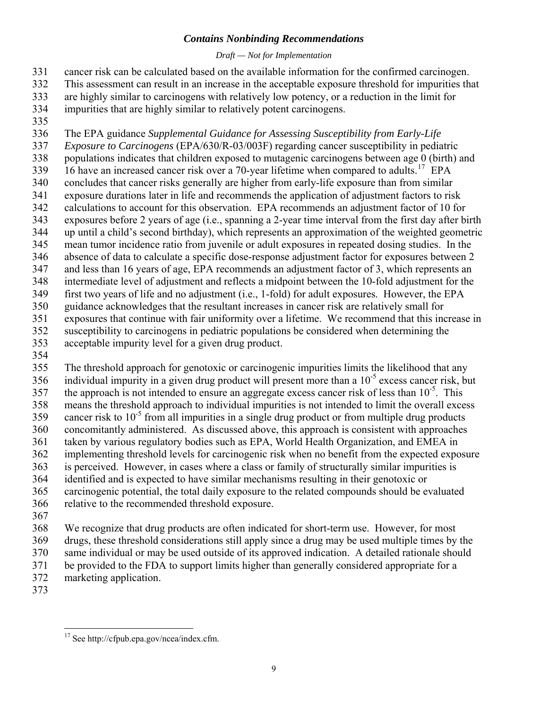#### *Draft — Not for Implementation*

cancer risk can be calculated based on the available information for the confirmed carcinogen. This assessment can result in an increase in the acceptable exposure threshold for impurities that are highly similar to carcinogens with relatively low potency, or a reduction in the limit for impurities that are highly similar to relatively potent carcinogens. 331 332 333 334

335

336 The EPA guidance *Supplemental Guidance for Assessing Susceptibility from Early-Life* 

337 338 339 340 341 342 343 344 345 346 347 348 349 350 351 352 *Exposure to Carcinogens* (EPA/630/R-03/003F) regarding cancer susceptibility in pediatric populations indicates that children exposed to mutagenic carcinogens between age 0 (birth) and 16 have an increased cancer risk over a 70-year lifetime when compared to adults.<sup>[17](#page-11-0)</sup> EPA concludes that cancer risks generally are higher from early-life exposure than from similar exposure durations later in life and recommends the application of adjustment factors to risk calculations to account for this observation. EPA recommends an adjustment factor of 10 for exposures before 2 years of age (i.e., spanning a 2-year time interval from the first day after birth up until a child's second birthday), which represents an approximation of the weighted geometric mean tumor incidence ratio from juvenile or adult exposures in repeated dosing studies. In the absence of data to calculate a specific dose-response adjustment factor for exposures between 2 and less than 16 years of age, EPA recommends an adjustment factor of 3, which represents an intermediate level of adjustment and reflects a midpoint between the 10-fold adjustment for the first two years of life and no adjustment (i.e., 1-fold) for adult exposures. However, the EPA guidance acknowledges that the resultant increases in cancer risk are relatively small for exposures that continue with fair uniformity over a lifetime. We recommend that this increase in susceptibility to carcinogens in pediatric populations be considered when determining the

- 353 acceptable impurity level for a given drug product.
- 354

355 356 357 358 359 360 361 362 363 364 365 366 The threshold approach for genotoxic or carcinogenic impurities limits the likelihood that any individual impurity in a given drug product will present more than a  $10^{-5}$  excess cancer risk, but the approach is not intended to ensure an aggregate excess cancer risk of less than  $10^{-5}$ . This means the threshold approach to individual impurities is not intended to limit the overall excess cancer risk to  $10^{-5}$  from all impurities in a single drug product or from multiple drug products concomitantly administered. As discussed above, this approach is consistent with approaches taken by various regulatory bodies such as EPA, World Health Organization, and EMEA in implementing threshold levels for carcinogenic risk when no benefit from the expected exposure is perceived. However, in cases where a class or family of structurally similar impurities is identified and is expected to have similar mechanisms resulting in their genotoxic or carcinogenic potential, the total daily exposure to the related compounds should be evaluated relative to the recommended threshold exposure.

367

368 369 370 371 372 We recognize that drug products are often indicated for short-term use. However, for most drugs, these threshold considerations still apply since a drug may be used multiple times by the same individual or may be used outside of its approved indication. A detailed rationale should be provided to the FDA to support limits higher than generally considered appropriate for a marketing application.

<span id="page-11-0"></span>373

 $\overline{a}$  $17$  See http://cfpub.epa.gov/ncea/index.cfm.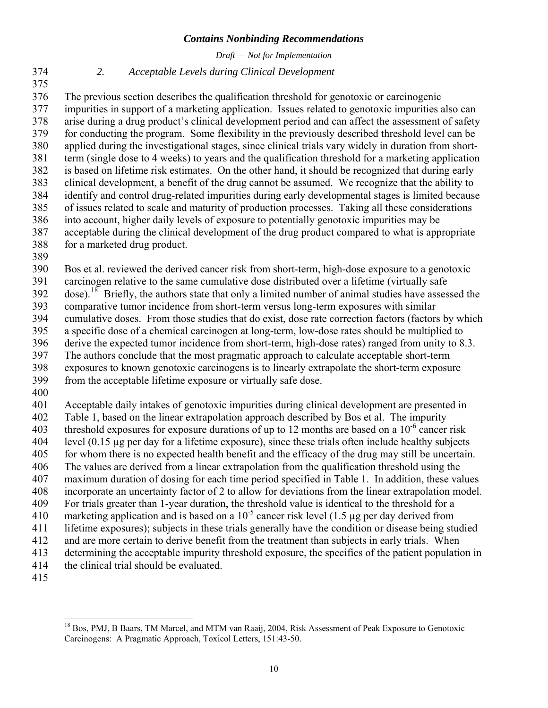*Draft — Not for Implementation* 

375

# <span id="page-12-0"></span>374 *2. Acceptable Levels during Clinical Development*

376 377 378 379 380 381 382 383 384 385 386 387 388 The previous section describes the qualification threshold for genotoxic or carcinogenic impurities in support of a marketing application. Issues related to genotoxic impurities also can arise during a drug product's clinical development period and can affect the assessment of safety for conducting the program. Some flexibility in the previously described threshold level can be applied during the investigational stages, since clinical trials vary widely in duration from shortterm (single dose to 4 weeks) to years and the qualification threshold for a marketing application is based on lifetime risk estimates. On the other hand, it should be recognized that during early clinical development, a benefit of the drug cannot be assumed. We recognize that the ability to identify and control drug-related impurities during early developmental stages is limited because of issues related to scale and maturity of production processes. Taking all these considerations into account, higher daily levels of exposure to potentially genotoxic impurities may be acceptable during the clinical development of the drug product compared to what is appropriate for a marketed drug product.

389

390 391  $392$  dose).<sup>[18](#page-12-1)</sup> Briefly, the authors state that only a limited number of animal studies have assessed the 393 394 395 396 397 398 Bos et al. reviewed the derived cancer risk from short-term, high-dose exposure to a genotoxic carcinogen relative to the same cumulative dose distributed over a lifetime (virtually safe comparative tumor incidence from short-term versus long-term exposures with similar cumulative doses. From those studies that do exist, dose rate correction factors (factors by which a specific dose of a chemical carcinogen at long-term, low-dose rates should be multiplied to derive the expected tumor incidence from short-term, high-dose rates) ranged from unity to 8.3. The authors conclude that the most pragmatic approach to calculate acceptable short-term exposures to known genotoxic carcinogens is to linearly extrapolate the short-term exposure

399 from the acceptable lifetime exposure or virtually safe dose.

400

401 402 403 404 405 406 407 408 409 410 411 412 413 414 Acceptable daily intakes of genotoxic impurities during clinical development are presented in Table 1, based on the linear extrapolation approach described by Bos et al. The impurity threshold exposures for exposure durations of up to 12 months are based on a  $10^{-6}$  cancer risk level (0.15 µg per day for a lifetime exposure), since these trials often include healthy subjects for whom there is no expected health benefit and the efficacy of the drug may still be uncertain. The values are derived from a linear extrapolation from the qualification threshold using the maximum duration of dosing for each time period specified in Table 1. In addition, these values incorporate an uncertainty factor of 2 to allow for deviations from the linear extrapolation model. For trials greater than 1-year duration, the threshold value is identical to the threshold for a marketing application and is based on a  $10^{-5}$  cancer risk level (1.5 µg per day derived from lifetime exposures); subjects in these trials generally have the condition or disease being studied and are more certain to derive benefit from the treatment than subjects in early trials. When determining the acceptable impurity threshold exposure, the specifics of the patient population in the clinical trial should be evaluated.

<span id="page-12-1"></span>415

 $\overline{a}$ <sup>18</sup> Bos, PMJ, B Baars, TM Marcel, and MTM van Raaij, 2004, Risk Assessment of Peak Exposure to Genotoxic Carcinogens: A Pragmatic Approach, Toxicol Letters, 151:43-50.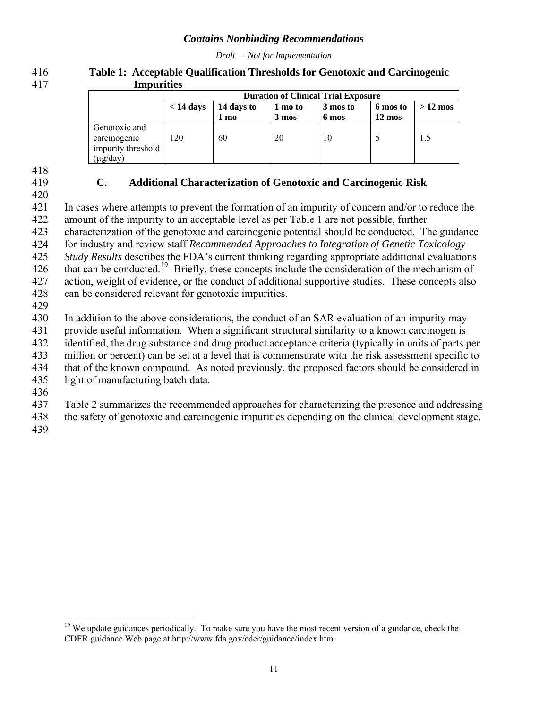*Draft — Not for Implementation* 

#### <span id="page-13-0"></span>**Table 1: Acceptable Qualification Thresholds for Genotoxic and Carcinogenic Impurities**  416 417

|                                                                        | <b>Duration of Clinical Trial Exposure</b> |                    |                            |                   |                              |           |  |
|------------------------------------------------------------------------|--------------------------------------------|--------------------|----------------------------|-------------------|------------------------------|-----------|--|
|                                                                        | $< 14 \text{ days}$                        | 14 days to<br>1 mo | 1 mo to<br>$3 \text{ mos}$ | 3 mos to<br>6 mos | 6 mos to<br>$12 \text{ mos}$ | $>12$ mos |  |
| Genotoxic and<br>carcinogenic<br>impurity threshold<br>$(\mu g / day)$ | 120                                        | 60                 | 20                         | 10                |                              | 1.5       |  |

418

419 420

# **C. Additional Characterization of Genotoxic and Carcinogenic Risk**

421 422 423 In cases where attempts to prevent the formation of an impurity of concern and/or to reduce the amount of the impurity to an acceptable level as per Table 1 are not possible, further characterization of the genotoxic and carcinogenic potential should be conducted. The guidance

424 for industry and review staff *Recommended Approaches to Integration of Genetic Toxicology* 

425 *Study Results* describes the FDA's current thinking regarding appropriate additional evaluations

426 that can be conducted.[19](#page-13-1) Briefly, these concepts include the consideration of the mechanism of

427 action, weight of evidence, or the conduct of additional supportive studies. These concepts also

- 428 can be considered relevant for genotoxic impurities.
- 429

430 In addition to the above considerations, the conduct of an SAR evaluation of an impurity may

431 provide useful information. When a significant structural similarity to a known carcinogen is

432 identified, the drug substance and drug product acceptance criteria (typically in units of parts per

433 million or percent) can be set at a level that is commensurate with the risk assessment specific to

434 that of the known compound. As noted previously, the proposed factors should be considered in

435 light of manufacturing batch data.

436

437 Table 2 summarizes the recommended approaches for characterizing the presence and addressing

438 the safety of genotoxic and carcinogenic impurities depending on the clinical development stage.

439

 $\overline{a}$ 

<span id="page-13-1"></span><sup>&</sup>lt;sup>19</sup> We update guidances periodically. To make sure you have the most recent version of a guidance, check the CDER guidance Web page at http://www.fda.gov/cder/guidance/index.htm.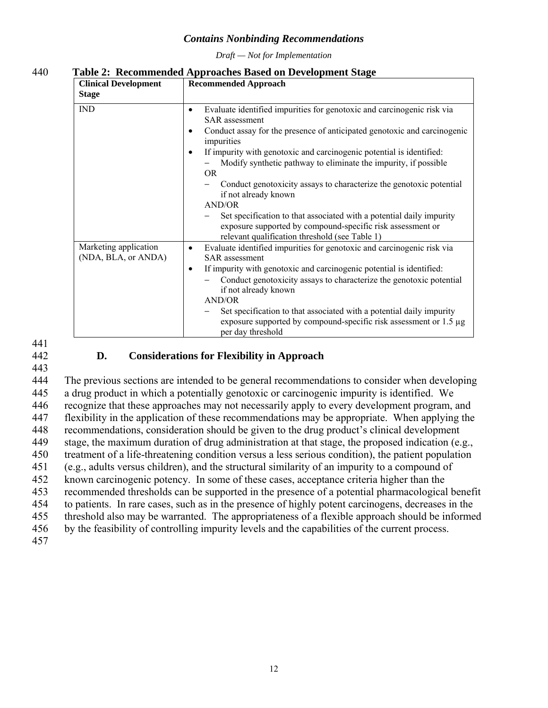*Draft — Not for Implementation* 

<span id="page-14-0"></span>

|  | 440 | Table 2: Recommended Approaches Based on Development Stage |
|--|-----|------------------------------------------------------------|
|--|-----|------------------------------------------------------------|

| <b>Clinical Development</b><br><b>Stage</b>  | <b>Recommended Approach</b>                                                                                                                                                                                                                                                                                                                                                                                                                                                                                                                                                |
|----------------------------------------------|----------------------------------------------------------------------------------------------------------------------------------------------------------------------------------------------------------------------------------------------------------------------------------------------------------------------------------------------------------------------------------------------------------------------------------------------------------------------------------------------------------------------------------------------------------------------------|
| <b>IND</b>                                   | Evaluate identified impurities for genotoxic and carcinogenic risk via<br>$\bullet$<br><b>SAR</b> assessment<br>Conduct assay for the presence of anticipated genotoxic and carcinogenic<br>$\bullet$<br>impurities<br>If impurity with genotoxic and carcinogenic potential is identified:<br>$\bullet$<br>Modify synthetic pathway to eliminate the impurity, if possible<br>OR.<br>Conduct genotoxicity assays to characterize the genotoxic potential<br>if not already known<br><b>AND/OR</b><br>Set specification to that associated with a potential daily impurity |
|                                              | exposure supported by compound-specific risk assessment or<br>relevant qualification threshold (see Table 1)                                                                                                                                                                                                                                                                                                                                                                                                                                                               |
| Marketing application<br>(NDA, BLA, or ANDA) | Evaluate identified impurities for genotoxic and carcinogenic risk via<br><b>SAR</b> assessment                                                                                                                                                                                                                                                                                                                                                                                                                                                                            |
|                                              | If impurity with genotoxic and carcinogenic potential is identified:<br>$\bullet$<br>Conduct genotoxicity assays to characterize the genotoxic potential<br>if not already known<br><b>AND/OR</b><br>Set specification to that associated with a potential daily impurity<br>exposure supported by compound-specific risk assessment or $1.5 \mu$ g<br>per day threshold                                                                                                                                                                                                   |

441 442

# **D. Considerations for Flexibility in Approach**

443

444 445 446 447 448 449 450 451 452 453 454 455 456 457 The previous sections are intended to be general recommendations to consider when developing a drug product in which a potentially genotoxic or carcinogenic impurity is identified. We recognize that these approaches may not necessarily apply to every development program, and flexibility in the application of these recommendations may be appropriate. When applying the recommendations, consideration should be given to the drug product's clinical development stage, the maximum duration of drug administration at that stage, the proposed indication (e.g., treatment of a life-threatening condition versus a less serious condition), the patient population (e.g., adults versus children), and the structural similarity of an impurity to a compound of known carcinogenic potency. In some of these cases, acceptance criteria higher than the recommended thresholds can be supported in the presence of a potential pharmacological benefit to patients. In rare cases, such as in the presence of highly potent carcinogens, decreases in the threshold also may be warranted. The appropriateness of a flexible approach should be informed by the feasibility of controlling impurity levels and the capabilities of the current process.